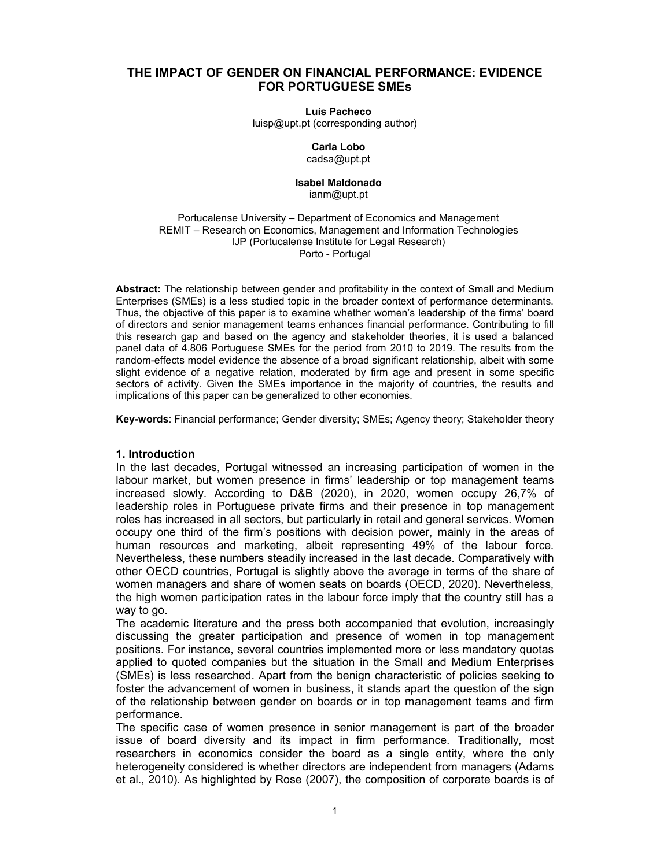## THE IMPACT OF GENDER ON FINANCIAL PERFORMANCE: EVIDENCE FOR PORTUGUESE SMEs

#### Luís Pacheco

luisp@upt.pt (corresponding author)

#### Carla Lobo cadsa@upt.pt

# Isabel Maldonado

## ianm@upt.pt

#### Portucalense University – Department of Economics and Management REMIT – Research on Economics, Management and Information Technologies IJP (Portucalense Institute for Legal Research) Porto - Portugal

Abstract: The relationship between gender and profitability in the context of Small and Medium Enterprises (SMEs) is a less studied topic in the broader context of performance determinants. Thus, the objective of this paper is to examine whether women's leadership of the firms' board of directors and senior management teams enhances financial performance. Contributing to fill this research gap and based on the agency and stakeholder theories, it is used a balanced panel data of 4.806 Portuguese SMEs for the period from 2010 to 2019. The results from the random-effects model evidence the absence of a broad significant relationship, albeit with some slight evidence of a negative relation, moderated by firm age and present in some specific sectors of activity. Given the SMEs importance in the majority of countries, the results and implications of this paper can be generalized to other economies.

Key-words: Financial performance; Gender diversity; SMEs; Agency theory; Stakeholder theory

## 1. Introduction

In the last decades, Portugal witnessed an increasing participation of women in the labour market, but women presence in firms' leadership or top management teams increased slowly. According to D&B (2020), in 2020, women occupy 26,7% of leadership roles in Portuguese private firms and their presence in top management roles has increased in all sectors, but particularly in retail and general services. Women occupy one third of the firm's positions with decision power, mainly in the areas of human resources and marketing, albeit representing 49% of the labour force. Nevertheless, these numbers steadily increased in the last decade. Comparatively with other OECD countries, Portugal is slightly above the average in terms of the share of women managers and share of women seats on boards (OECD, 2020). Nevertheless, the high women participation rates in the labour force imply that the country still has a way to go.

The academic literature and the press both accompanied that evolution, increasingly discussing the greater participation and presence of women in top management positions. For instance, several countries implemented more or less mandatory quotas applied to quoted companies but the situation in the Small and Medium Enterprises (SMEs) is less researched. Apart from the benign characteristic of policies seeking to foster the advancement of women in business, it stands apart the question of the sign of the relationship between gender on boards or in top management teams and firm performance.

The specific case of women presence in senior management is part of the broader issue of board diversity and its impact in firm performance. Traditionally, most researchers in economics consider the board as a single entity, where the only heterogeneity considered is whether directors are independent from managers (Adams et al., 2010). As highlighted by Rose (2007), the composition of corporate boards is of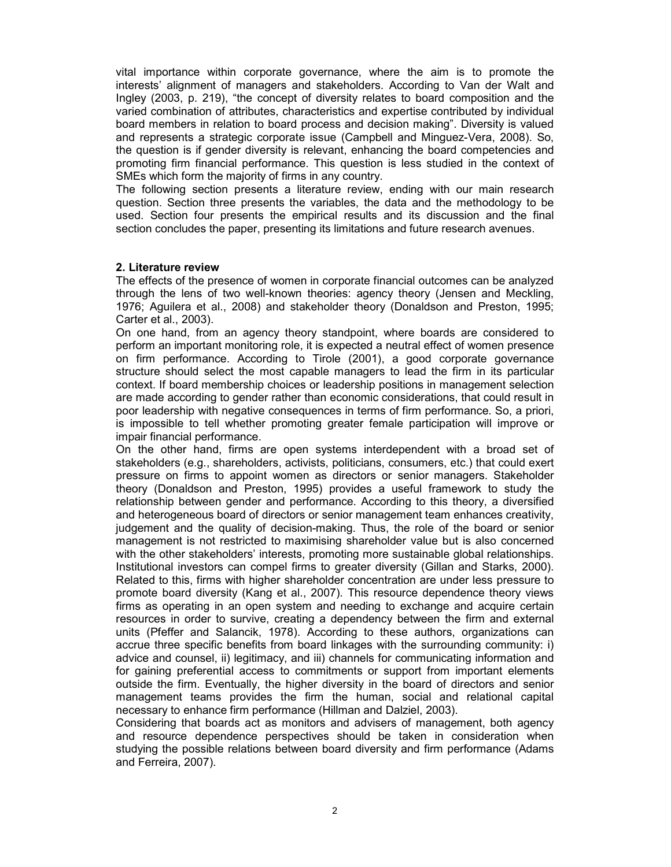vital importance within corporate governance, where the aim is to promote the interests' alignment of managers and stakeholders. According to Van der Walt and Ingley (2003, p. 219), "the concept of diversity relates to board composition and the varied combination of attributes, characteristics and expertise contributed by individual board members in relation to board process and decision making". Diversity is valued and represents a strategic corporate issue (Campbell and Minguez-Vera, 2008). So, the question is if gender diversity is relevant, enhancing the board competencies and promoting firm financial performance. This question is less studied in the context of SMEs which form the majority of firms in any country.

The following section presents a literature review, ending with our main research question. Section three presents the variables, the data and the methodology to be used. Section four presents the empirical results and its discussion and the final section concludes the paper, presenting its limitations and future research avenues.

## 2. Literature review

The effects of the presence of women in corporate financial outcomes can be analyzed through the lens of two well-known theories: agency theory (Jensen and Meckling, 1976; Aguilera et al., 2008) and stakeholder theory (Donaldson and Preston, 1995; Carter et al., 2003).

On one hand, from an agency theory standpoint, where boards are considered to perform an important monitoring role, it is expected a neutral effect of women presence on firm performance. According to Tirole (2001), a good corporate governance structure should select the most capable managers to lead the firm in its particular context. If board membership choices or leadership positions in management selection are made according to gender rather than economic considerations, that could result in poor leadership with negative consequences in terms of firm performance. So, a priori, is impossible to tell whether promoting greater female participation will improve or impair financial performance.

On the other hand, firms are open systems interdependent with a broad set of stakeholders (e.g., shareholders, activists, politicians, consumers, etc.) that could exert pressure on firms to appoint women as directors or senior managers. Stakeholder theory (Donaldson and Preston, 1995) provides a useful framework to study the relationship between gender and performance. According to this theory, a diversified and heterogeneous board of directors or senior management team enhances creativity, judgement and the quality of decision-making. Thus, the role of the board or senior management is not restricted to maximising shareholder value but is also concerned with the other stakeholders' interests, promoting more sustainable global relationships. Institutional investors can compel firms to greater diversity (Gillan and Starks, 2000). Related to this, firms with higher shareholder concentration are under less pressure to promote board diversity (Kang et al., 2007). This resource dependence theory views firms as operating in an open system and needing to exchange and acquire certain resources in order to survive, creating a dependency between the firm and external units (Pfeffer and Salancik, 1978). According to these authors, organizations can accrue three specific benefits from board linkages with the surrounding community: i) advice and counsel, ii) legitimacy, and iii) channels for communicating information and for gaining preferential access to commitments or support from important elements outside the firm. Eventually, the higher diversity in the board of directors and senior management teams provides the firm the human, social and relational capital necessary to enhance firm performance (Hillman and Dalziel, 2003).

Considering that boards act as monitors and advisers of management, both agency and resource dependence perspectives should be taken in consideration when studying the possible relations between board diversity and firm performance (Adams and Ferreira, 2007).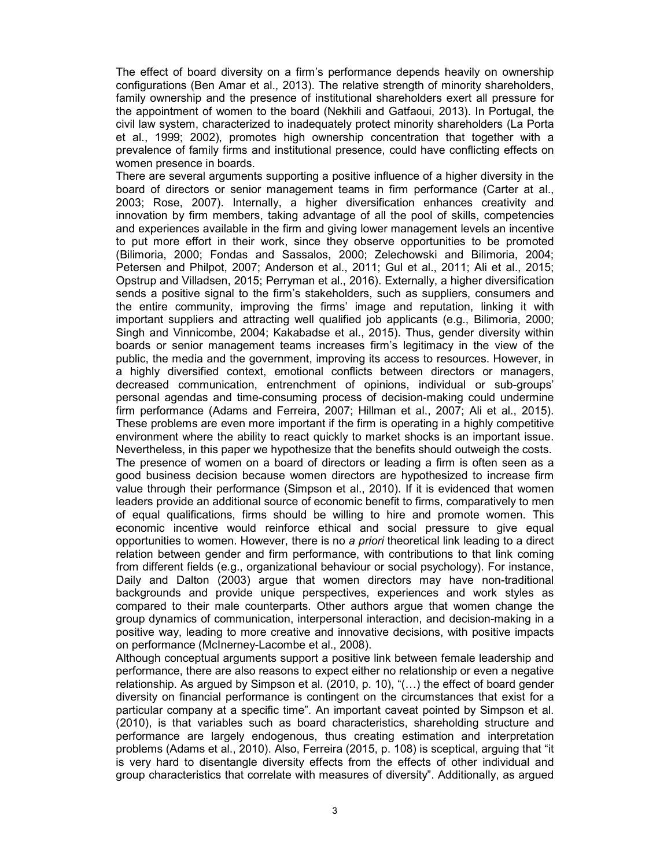The effect of board diversity on a firm's performance depends heavily on ownership configurations (Ben Amar et al., 2013). The relative strength of minority shareholders, family ownership and the presence of institutional shareholders exert all pressure for the appointment of women to the board (Nekhili and Gatfaoui, 2013). In Portugal, the civil law system, characterized to inadequately protect minority shareholders (La Porta et al., 1999; 2002), promotes high ownership concentration that together with a prevalence of family firms and institutional presence, could have conflicting effects on women presence in boards.

There are several arguments supporting a positive influence of a higher diversity in the board of directors or senior management teams in firm performance (Carter at al., 2003; Rose, 2007). Internally, a higher diversification enhances creativity and innovation by firm members, taking advantage of all the pool of skills, competencies and experiences available in the firm and giving lower management levels an incentive to put more effort in their work, since they observe opportunities to be promoted (Bilimoria, 2000; Fondas and Sassalos, 2000; Zelechowski and Bilimoria, 2004; Petersen and Philpot, 2007; Anderson et al., 2011; Gul et al., 2011; Ali et al., 2015; Opstrup and Villadsen, 2015; Perryman et al., 2016). Externally, a higher diversification sends a positive signal to the firm's stakeholders, such as suppliers, consumers and the entire community, improving the firms' image and reputation, linking it with important suppliers and attracting well qualified job applicants (e.g., Bilimoria, 2000; Singh and Vinnicombe, 2004; Kakabadse et al., 2015). Thus, gender diversity within boards or senior management teams increases firm's legitimacy in the view of the public, the media and the government, improving its access to resources. However, in a highly diversified context, emotional conflicts between directors or managers, decreased communication, entrenchment of opinions, individual or sub-groups' personal agendas and time-consuming process of decision-making could undermine firm performance (Adams and Ferreira, 2007; Hillman et al., 2007; Ali et al., 2015). These problems are even more important if the firm is operating in a highly competitive environment where the ability to react quickly to market shocks is an important issue. Nevertheless, in this paper we hypothesize that the benefits should outweigh the costs. The presence of women on a board of directors or leading a firm is often seen as a good business decision because women directors are hypothesized to increase firm value through their performance (Simpson et al., 2010). If it is evidenced that women leaders provide an additional source of economic benefit to firms, comparatively to men of equal qualifications, firms should be willing to hire and promote women. This economic incentive would reinforce ethical and social pressure to give equal opportunities to women. However, there is no a priori theoretical link leading to a direct relation between gender and firm performance, with contributions to that link coming from different fields (e.g., organizational behaviour or social psychology). For instance, Daily and Dalton (2003) argue that women directors may have non-traditional backgrounds and provide unique perspectives, experiences and work styles as compared to their male counterparts. Other authors argue that women change the group dynamics of communication, interpersonal interaction, and decision-making in a positive way, leading to more creative and innovative decisions, with positive impacts on performance (McInerney-Lacombe et al., 2008).

Although conceptual arguments support a positive link between female leadership and performance, there are also reasons to expect either no relationship or even a negative relationship. As argued by Simpson et al. (2010, p. 10), "(…) the effect of board gender diversity on financial performance is contingent on the circumstances that exist for a particular company at a specific time". An important caveat pointed by Simpson et al. (2010), is that variables such as board characteristics, shareholding structure and performance are largely endogenous, thus creating estimation and interpretation problems (Adams et al., 2010). Also, Ferreira (2015, p. 108) is sceptical, arguing that "it is very hard to disentangle diversity effects from the effects of other individual and group characteristics that correlate with measures of diversity". Additionally, as argued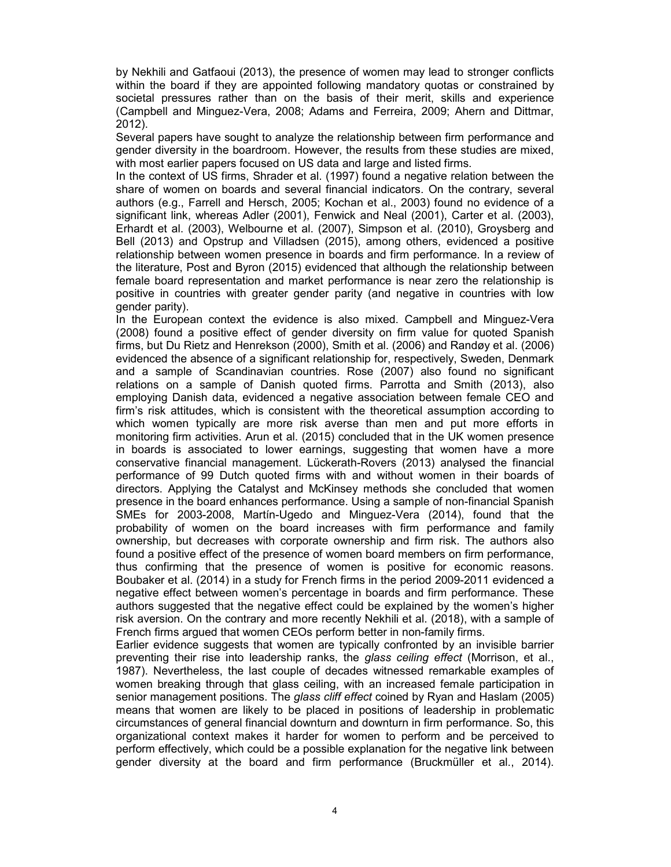by Nekhili and Gatfaoui (2013), the presence of women may lead to stronger conflicts within the board if they are appointed following mandatory quotas or constrained by societal pressures rather than on the basis of their merit, skills and experience (Campbell and Minguez-Vera, 2008; Adams and Ferreira, 2009; Ahern and Dittmar, 2012).

Several papers have sought to analyze the relationship between firm performance and gender diversity in the boardroom. However, the results from these studies are mixed, with most earlier papers focused on US data and large and listed firms.

In the context of US firms, Shrader et al. (1997) found a negative relation between the share of women on boards and several financial indicators. On the contrary, several authors (e.g., Farrell and Hersch, 2005; Kochan et al., 2003) found no evidence of a significant link, whereas Adler (2001), Fenwick and Neal (2001), Carter et al. (2003), Erhardt et al. (2003), Welbourne et al. (2007), Simpson et al. (2010), Groysberg and Bell (2013) and Opstrup and Villadsen (2015), among others, evidenced a positive relationship between women presence in boards and firm performance. In a review of the literature, Post and Byron (2015) evidenced that although the relationship between female board representation and market performance is near zero the relationship is positive in countries with greater gender parity (and negative in countries with low gender parity).

In the European context the evidence is also mixed. Campbell and Minguez-Vera (2008) found a positive effect of gender diversity on firm value for quoted Spanish firms, but Du Rietz and Henrekson (2000), Smith et al. (2006) and Randøy et al. (2006) evidenced the absence of a significant relationship for, respectively, Sweden, Denmark and a sample of Scandinavian countries. Rose (2007) also found no significant relations on a sample of Danish quoted firms. Parrotta and Smith (2013), also employing Danish data, evidenced a negative association between female CEO and firm's risk attitudes, which is consistent with the theoretical assumption according to which women typically are more risk averse than men and put more efforts in monitoring firm activities. Arun et al. (2015) concluded that in the UK women presence in boards is associated to lower earnings, suggesting that women have a more conservative financial management. Lückerath-Rovers (2013) analysed the financial performance of 99 Dutch quoted firms with and without women in their boards of directors. Applying the Catalyst and McKinsey methods she concluded that women presence in the board enhances performance. Using a sample of non-financial Spanish SMEs for 2003-2008, Martín-Ugedo and Minguez-Vera (2014), found that the probability of women on the board increases with firm performance and family ownership, but decreases with corporate ownership and firm risk. The authors also found a positive effect of the presence of women board members on firm performance, thus confirming that the presence of women is positive for economic reasons. Boubaker et al. (2014) in a study for French firms in the period 2009-2011 evidenced a negative effect between women's percentage in boards and firm performance. These authors suggested that the negative effect could be explained by the women's higher risk aversion. On the contrary and more recently Nekhili et al. (2018), with a sample of French firms argued that women CEOs perform better in non-family firms.

Earlier evidence suggests that women are typically confronted by an invisible barrier preventing their rise into leadership ranks, the *glass ceiling effect* (Morrison, et al., 1987). Nevertheless, the last couple of decades witnessed remarkable examples of women breaking through that glass ceiling, with an increased female participation in senior management positions. The glass cliff effect coined by Ryan and Haslam (2005) means that women are likely to be placed in positions of leadership in problematic circumstances of general financial downturn and downturn in firm performance. So, this organizational context makes it harder for women to perform and be perceived to perform effectively, which could be a possible explanation for the negative link between gender diversity at the board and firm performance (Bruckmüller et al., 2014).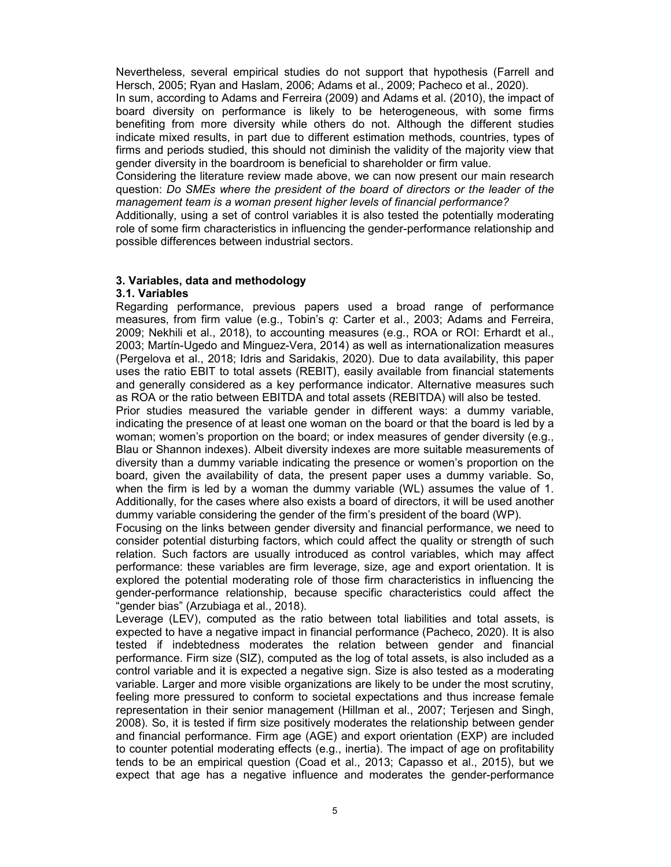Nevertheless, several empirical studies do not support that hypothesis (Farrell and Hersch, 2005; Ryan and Haslam, 2006; Adams et al., 2009; Pacheco et al., 2020).

In sum, according to Adams and Ferreira (2009) and Adams et al. (2010), the impact of board diversity on performance is likely to be heterogeneous, with some firms benefiting from more diversity while others do not. Although the different studies indicate mixed results, in part due to different estimation methods, countries, types of firms and periods studied, this should not diminish the validity of the majority view that gender diversity in the boardroom is beneficial to shareholder or firm value.

Considering the literature review made above, we can now present our main research question: Do SMEs where the president of the board of directors or the leader of the management team is a woman present higher levels of financial performance?

Additionally, using a set of control variables it is also tested the potentially moderating role of some firm characteristics in influencing the gender-performance relationship and possible differences between industrial sectors.

## 3. Variables, data and methodology

#### 3.1. Variables

Regarding performance, previous papers used a broad range of performance measures, from firm value (e.g., Tobin's q: Carter et al., 2003; Adams and Ferreira, 2009; Nekhili et al., 2018), to accounting measures (e.g., ROA or ROI: Erhardt et al., 2003; Martín-Ugedo and Minguez-Vera, 2014) as well as internationalization measures (Pergelova et al., 2018; Idris and Saridakis, 2020). Due to data availability, this paper uses the ratio EBIT to total assets (REBIT), easily available from financial statements and generally considered as a key performance indicator. Alternative measures such as ROA or the ratio between EBITDA and total assets (REBITDA) will also be tested.

Prior studies measured the variable gender in different ways: a dummy variable, indicating the presence of at least one woman on the board or that the board is led by a woman; women's proportion on the board; or index measures of gender diversity (e.g., Blau or Shannon indexes). Albeit diversity indexes are more suitable measurements of diversity than a dummy variable indicating the presence or women's proportion on the board, given the availability of data, the present paper uses a dummy variable. So, when the firm is led by a woman the dummy variable (WL) assumes the value of 1. Additionally, for the cases where also exists a board of directors, it will be used another dummy variable considering the gender of the firm's president of the board (WP).

Focusing on the links between gender diversity and financial performance, we need to consider potential disturbing factors, which could affect the quality or strength of such relation. Such factors are usually introduced as control variables, which may affect performance: these variables are firm leverage, size, age and export orientation. It is explored the potential moderating role of those firm characteristics in influencing the gender-performance relationship, because specific characteristics could affect the "gender bias" (Arzubiaga et al., 2018).

Leverage (LEV), computed as the ratio between total liabilities and total assets, is expected to have a negative impact in financial performance (Pacheco, 2020). It is also tested if indebtedness moderates the relation between gender and financial performance. Firm size (SIZ), computed as the log of total assets, is also included as a control variable and it is expected a negative sign. Size is also tested as a moderating variable. Larger and more visible organizations are likely to be under the most scrutiny, feeling more pressured to conform to societal expectations and thus increase female representation in their senior management (Hillman et al., 2007; Terjesen and Singh, 2008). So, it is tested if firm size positively moderates the relationship between gender and financial performance. Firm age (AGE) and export orientation (EXP) are included to counter potential moderating effects (e.g., inertia). The impact of age on profitability tends to be an empirical question (Coad et al., 2013; Capasso et al., 2015), but we expect that age has a negative influence and moderates the gender-performance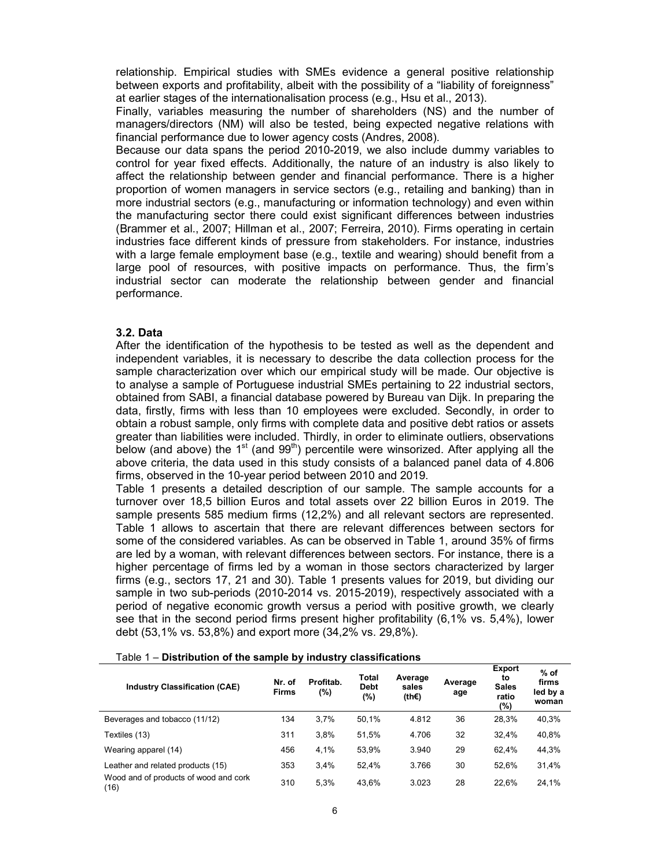relationship. Empirical studies with SMEs evidence a general positive relationship between exports and profitability, albeit with the possibility of a "liability of foreignness" at earlier stages of the internationalisation process (e.g., Hsu et al., 2013).

Finally, variables measuring the number of shareholders (NS) and the number of managers/directors (NM) will also be tested, being expected negative relations with financial performance due to lower agency costs (Andres, 2008).

Because our data spans the period 2010-2019, we also include dummy variables to control for year fixed effects. Additionally, the nature of an industry is also likely to affect the relationship between gender and financial performance. There is a higher proportion of women managers in service sectors (e.g., retailing and banking) than in more industrial sectors (e.g., manufacturing or information technology) and even within the manufacturing sector there could exist significant differences between industries (Brammer et al., 2007; Hillman et al., 2007; Ferreira, 2010). Firms operating in certain industries face different kinds of pressure from stakeholders. For instance, industries with a large female employment base (e.g., textile and wearing) should benefit from a large pool of resources, with positive impacts on performance. Thus, the firm's industrial sector can moderate the relationship between gender and financial performance.

## 3.2. Data

After the identification of the hypothesis to be tested as well as the dependent and independent variables, it is necessary to describe the data collection process for the sample characterization over which our empirical study will be made. Our objective is to analyse a sample of Portuguese industrial SMEs pertaining to 22 industrial sectors, obtained from SABI, a financial database powered by Bureau van Dijk. In preparing the data, firstly, firms with less than 10 employees were excluded. Secondly, in order to obtain a robust sample, only firms with complete data and positive debt ratios or assets greater than liabilities were included. Thirdly, in order to eliminate outliers, observations below (and above) the  $1<sup>st</sup>$  (and  $99<sup>th</sup>$ ) percentile were winsorized. After applying all the above criteria, the data used in this study consists of a balanced panel data of 4.806 firms, observed in the 10-year period between 2010 and 2019.

Table 1 presents a detailed description of our sample. The sample accounts for a turnover over 18,5 billion Euros and total assets over 22 billion Euros in 2019. The sample presents 585 medium firms (12,2%) and all relevant sectors are represented. Table 1 allows to ascertain that there are relevant differences between sectors for some of the considered variables. As can be observed in Table 1, around 35% of firms are led by a woman, with relevant differences between sectors. For instance, there is a higher percentage of firms led by a woman in those sectors characterized by larger firms (e.g., sectors 17, 21 and 30). Table 1 presents values for 2019, but dividing our sample in two sub-periods (2010-2014 vs. 2015-2019), respectively associated with a period of negative economic growth versus a period with positive growth, we clearly see that in the second period firms present higher profitability (6,1% vs. 5,4%), lower debt (53,1% vs. 53,8%) and export more (34,2% vs. 29,8%).

|  | Table 1 – Distribution of the sample by industry classifications |  |  |  |
|--|------------------------------------------------------------------|--|--|--|
|--|------------------------------------------------------------------|--|--|--|

| <b>Industry Classification (CAE)</b>          | Nr. of<br><b>Firms</b> | Profitab.<br>(%) | <b>Total</b><br><b>Debt</b><br>(%) | Average<br>sales<br>(th€) | Average<br>age | Export<br>to<br><b>Sales</b><br>ratio<br>(%) | $%$ of<br>firms<br>led by a<br>woman |
|-----------------------------------------------|------------------------|------------------|------------------------------------|---------------------------|----------------|----------------------------------------------|--------------------------------------|
| Beverages and tobacco (11/12)                 | 134                    | 3.7%             | 50.1%                              | 4.812                     | 36             | 28.3%                                        | 40,3%                                |
| Textiles (13)                                 | 311                    | 3.8%             | 51,5%                              | 4.706                     | 32             | 32.4%                                        | 40,8%                                |
| Wearing apparel (14)                          | 456                    | 4,1%             | 53.9%                              | 3.940                     | 29             | 62.4%                                        | 44,3%                                |
| Leather and related products (15)             | 353                    | 3.4%             | 52.4%                              | 3.766                     | 30             | 52.6%                                        | 31,4%                                |
| Wood and of products of wood and cork<br>(16) | 310                    | 5.3%             | 43.6%                              | 3.023                     | 28             | 22.6%                                        | 24,1%                                |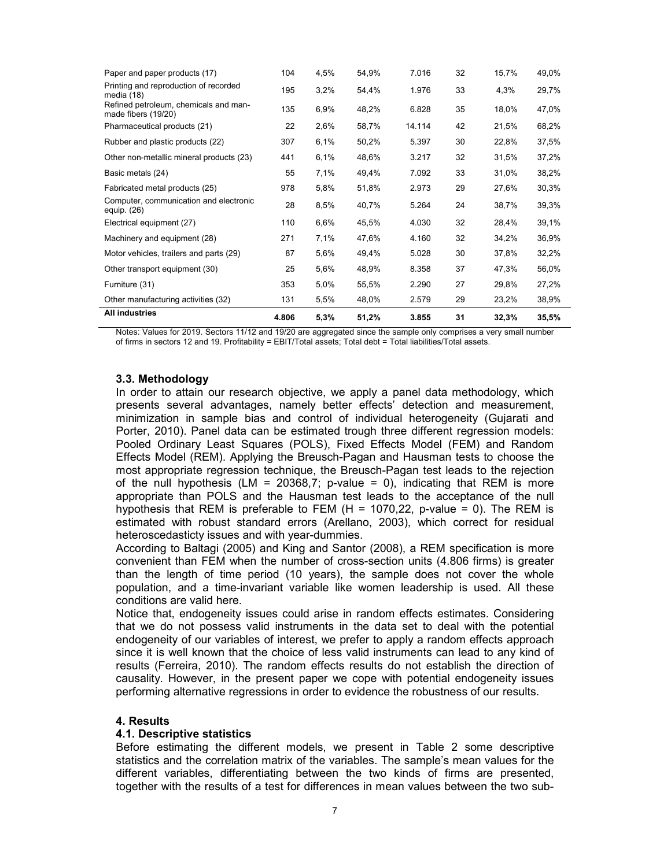| Paper and paper products (17)                                | 104   | 4,5% | 54,9% | 7.016  | 32 | 15,7% | 49,0% |
|--------------------------------------------------------------|-------|------|-------|--------|----|-------|-------|
| Printing and reproduction of recorded<br>media (18)          | 195   | 3,2% | 54,4% | 1.976  | 33 | 4,3%  | 29,7% |
| Refined petroleum, chemicals and man-<br>made fibers (19/20) | 135   | 6,9% | 48,2% | 6.828  | 35 | 18,0% | 47,0% |
| Pharmaceutical products (21)                                 | 22    | 2,6% | 58,7% | 14.114 | 42 | 21,5% | 68,2% |
| Rubber and plastic products (22)                             | 307   | 6,1% | 50,2% | 5.397  | 30 | 22,8% | 37,5% |
| Other non-metallic mineral products (23)                     | 441   | 6,1% | 48,6% | 3.217  | 32 | 31,5% | 37,2% |
| Basic metals (24)                                            | 55    | 7,1% | 49,4% | 7.092  | 33 | 31,0% | 38,2% |
| Fabricated metal products (25)                               | 978   | 5,8% | 51,8% | 2.973  | 29 | 27,6% | 30,3% |
| Computer, communication and electronic<br>equip. (26)        | 28    | 8,5% | 40,7% | 5.264  | 24 | 38,7% | 39,3% |
| Electrical equipment (27)                                    | 110   | 6,6% | 45,5% | 4.030  | 32 | 28,4% | 39,1% |
| Machinery and equipment (28)                                 | 271   | 7,1% | 47,6% | 4.160  | 32 | 34,2% | 36,9% |
| Motor vehicles, trailers and parts (29)                      | 87    | 5,6% | 49,4% | 5.028  | 30 | 37,8% | 32,2% |
| Other transport equipment (30)                               | 25    | 5,6% | 48,9% | 8.358  | 37 | 47,3% | 56,0% |
| Furniture (31)                                               | 353   | 5,0% | 55,5% | 2.290  | 27 | 29,8% | 27,2% |
| Other manufacturing activities (32)                          | 131   | 5,5% | 48,0% | 2.579  | 29 | 23,2% | 38,9% |
| All industries                                               | 4.806 | 5,3% | 51,2% | 3.855  | 31 | 32,3% | 35,5% |

Notes: Values for 2019. Sectors 11/12 and 19/20 are aggregated since the sample only comprises a very small number of firms in sectors 12 and 19. Profitability = EBIT/Total assets; Total debt = Total liabilities/Total assets.

## 3.3. Methodology

In order to attain our research objective, we apply a panel data methodology, which presents several advantages, namely better effects' detection and measurement, minimization in sample bias and control of individual heterogeneity (Gujarati and Porter, 2010). Panel data can be estimated trough three different regression models: Pooled Ordinary Least Squares (POLS), Fixed Effects Model (FEM) and Random Effects Model (REM). Applying the Breusch-Pagan and Hausman tests to choose the most appropriate regression technique, the Breusch-Pagan test leads to the rejection of the null hypothesis (LM = 20368.7; p-value = 0), indicating that REM is more appropriate than POLS and the Hausman test leads to the acceptance of the null hypothesis that REM is preferable to FEM  $(H = 1070, 22, p-value = 0)$ . The REM is estimated with robust standard errors (Arellano, 2003), which correct for residual heteroscedasticty issues and with year-dummies.

According to Baltagi (2005) and King and Santor (2008), a REM specification is more convenient than FEM when the number of cross-section units (4.806 firms) is greater than the length of time period (10 years), the sample does not cover the whole population, and a time-invariant variable like women leadership is used. All these conditions are valid here.

Notice that, endogeneity issues could arise in random effects estimates. Considering that we do not possess valid instruments in the data set to deal with the potential endogeneity of our variables of interest, we prefer to apply a random effects approach since it is well known that the choice of less valid instruments can lead to any kind of results (Ferreira, 2010). The random effects results do not establish the direction of causality. However, in the present paper we cope with potential endogeneity issues performing alternative regressions in order to evidence the robustness of our results.

## 4. Results

#### 4.1. Descriptive statistics

Before estimating the different models, we present in Table 2 some descriptive statistics and the correlation matrix of the variables. The sample's mean values for the different variables, differentiating between the two kinds of firms are presented, together with the results of a test for differences in mean values between the two sub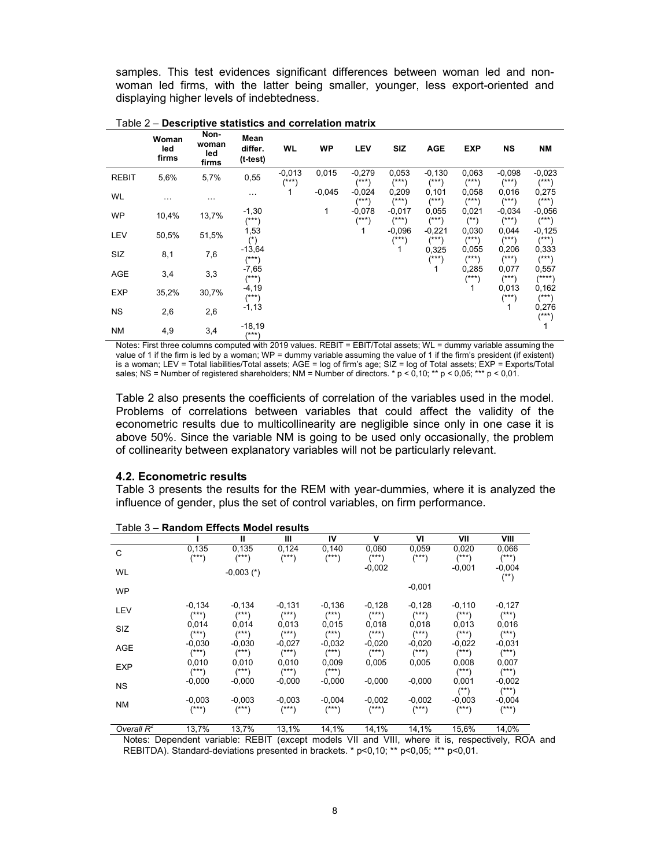samples. This test evidences significant differences between woman led and nonwoman led firms, with the latter being smaller, younger, less export-oriented and displaying higher levels of indebtedness.

|              | Woman<br>led<br>firms | Non-<br>woman<br>led<br>firms | Mean<br>differ.<br>$(t-test)$ | WL                  | <b>WP</b> | <b>LEV</b>          | <b>SIZ</b>          | <b>AGE</b>          | <b>EXP</b>          | <b>NS</b>            | <b>NM</b>            |
|--------------|-----------------------|-------------------------------|-------------------------------|---------------------|-----------|---------------------|---------------------|---------------------|---------------------|----------------------|----------------------|
| <b>REBIT</b> | 5,6%                  | 5,7%                          | 0,55                          | $-0.013$<br>$(***)$ | 0,015     | $-0,279$<br>$(***)$ | 0,053<br>$(***)$    | $-0,130$<br>$(***)$ | 0,063<br>$(***)$    | $-0.098$<br>$(***)$  | $-0,023$<br>$^{***}$ |
| WL           | $\cdots$              | .                             | $\cdots$                      | 1                   | $-0.045$  | $-0,024$<br>$(***)$ | 0,209<br>$^{***}$   | 0,101<br>$^{(***)}$ | 0,058<br>(***)      | 0,016<br>$^{***}$    | 0,275<br>$(***)$     |
| WP           | 10,4%                 | 13,7%                         | $-1,30$<br>$(***)$            |                     | 1         | $-0,078$<br>$(***)$ | $-0.017$<br>$(***)$ | 0,055<br>$^{(***)}$ | 0,021<br>$^{(*)}$   | $-0.034$<br>$^{***}$ | $-0,056$<br>$(***)$  |
| <b>LEV</b>   | 50,5%                 | 51,5%                         | 1,53<br>$(*)$                 |                     |           | 1                   | $-0.096$<br>$(***)$ | $-0,221$<br>$(***)$ | 0,030<br>$^{(***)}$ | 0,044<br>$^{(***)}$  | $-0,125$<br>$(***)$  |
| SIZ          | 8,1                   | 7,6                           | $-13,64$<br>$(***)$           |                     |           |                     | 1                   | 0,325<br>(***)      | 0,055<br>$(***)$    | 0,206<br>$^{***}$    | 0,333<br>$(***)$     |
| <b>AGE</b>   | 3,4                   | 3,3                           | $-7,65$<br>$(***)$            |                     |           |                     |                     | 1                   | 0,285<br>$(***)$    | 0,077<br>$(***)$     | 0,557<br>(****)      |
| <b>EXP</b>   | 35,2%                 | 30,7%                         | $-4,19$<br>$(***)$            |                     |           |                     |                     |                     |                     | 0,013<br>$(***)$     | 0,162<br>(***)       |
| <b>NS</b>    | 2,6                   | 2,6                           | $-1, 13$                      |                     |           |                     |                     |                     |                     | 1                    | 0,276<br>$(***"$     |
| <b>NM</b>    | 4,9                   | 3,4                           | $-18,19$<br>$(***)$           |                     |           |                     |                     |                     |                     |                      |                      |

Table 2 – Descriptive statistics and correlation matrix

Notes: First three columns computed with 2019 values. REBIT = EBIT/Total assets; WL = dummy variable assuming the value of 1 if the firm is led by a woman; WP = dummy variable assuming the value of 1 if the firm's president (if existent) is a woman; LEV = Total liabilities/Total assets; AGE = log of firm's age; SIZ = log of Total assets; EXP = Exports/Total sales; NS = Number of registered shareholders; NM = Number of directors.  $* p < 0,10; ** p < 0,05; *** p < 0,01$ .

Table 2 also presents the coefficients of correlation of the variables used in the model. Problems of correlations between variables that could affect the validity of the econometric results due to multicollinearity are negligible since only in one case it is above 50%. Since the variable NM is going to be used only occasionally, the problem of collinearity between explanatory variables will not be particularly relevant.

## 4.2. Econometric results

Table 3 presents the results for the REM with year-dummies, where it is analyzed the influence of gender, plus the set of control variables, on firm performance.

|               |                     | Ш                    | Ш                      | IV                     | v                    | VI                     | VII                  | VIII                   |
|---------------|---------------------|----------------------|------------------------|------------------------|----------------------|------------------------|----------------------|------------------------|
| C             | 0,135<br>$(***)$    | 0,135<br>(***)       | 0,124<br>$^{***}$      | 0,140<br>$^{***}$      | 0,060<br>$(***)$     | 0,059<br>$^{(***)}$    | 0,020<br>(***)       | 0,066<br>$^{***}$      |
| WL            |                     | $-0,003$ (*)         |                        |                        | $-0,002$             |                        | $-0,001$             | $-0,004$<br>$(**)$     |
| <b>WP</b>     |                     |                      |                        |                        |                      | $-0,001$               |                      |                        |
| LEV           | $-0,134$<br>$(***)$ | $-0,134$<br>$^{***}$ | $-0,131$<br>$^{(***)}$ | $-0,136$<br>$(***)$    | $-0,128$<br>$^{***}$ | $-0,128$<br>$^{(***)}$ | $-0,110$<br>$(***)$  | $-0,127$<br>$^{(***)}$ |
| SIZ           | 0,014<br>$(***)$    | 0,014<br>$^{(***)}$  | 0,013<br>$^{(***)}$    | 0,015<br>$(***)$       | 0,018<br>$(***)$     | 0,018<br>$(***)$       | 0,013<br>$(***)$     | 0,016<br>$^{(***)}$    |
| <b>AGE</b>    | $-0,030$<br>(***)   | $-0,030$<br>(***)    | $-0,027$<br>(***)      | $-0.032$<br>$^{***}$   | $-0,020$<br>$(***)$  | $-0.020$<br>$(***)$    | $-0,022$<br>$^{***}$ | $-0,031$<br>$^{(***)}$ |
| <b>EXP</b>    | 0,010<br>$(***)$    | 0,010<br>(***)       | 0,010<br>(***)         | 0,009<br>$(***)$       | 0,005                | 0,005                  | 0,008<br>$(***)$     | 0,007<br>$^{(***)}$    |
| <b>NS</b>     | $-0.000$            | $-0,000$             | $-0,000$               | $-0,000$               | $-0,000$             | $-0.000$               | 0,001<br>$^{(*)}$    | $-0,002$<br>$^{(***)}$ |
| <b>NM</b>     | $-0,003$<br>$(***)$ | $-0,003$<br>(***)    | $-0,003$<br>(***)      | $-0,004$<br>$^{(***)}$ | $-0,002$<br>$(***)$  | $-0,002$<br>(***)      | $-0.003$<br>$(***)$  | $-0,004$<br>$^{(***)}$ |
| Overall $R^2$ | 13,7%               | 13,7%                | 13,1%                  | 14,1%                  | 14,1%                | 14,1%                  | 15,6%                | 14,0%                  |

Table 3 – Random Effects Model results

13,7% 13,7% 13,1% 14,1% 14,1% 14,1% 15,6% 14,0% Notes: Dependent variable: REBIT (except models VII and VIII, where it is, respectively, ROA and

REBITDA). Standard-deviations presented in brackets. \* p<0,10; \*\* p<0,05; \*\*\* p<0,01.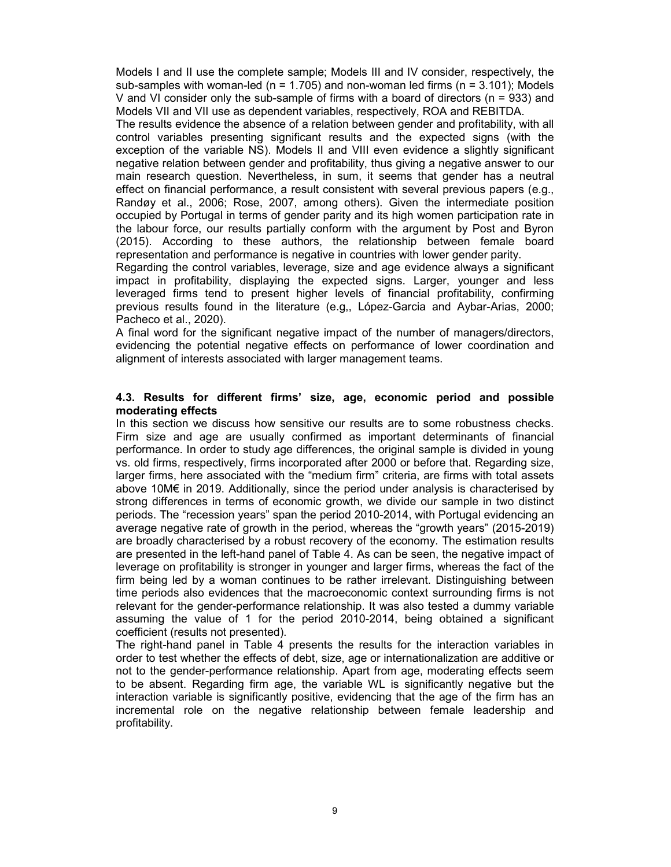Models I and II use the complete sample; Models III and IV consider, respectively, the sub-samples with woman-led ( $n = 1.705$ ) and non-woman led firms ( $n = 3.101$ ); Models V and VI consider only the sub-sample of firms with a board of directors ( $n = 933$ ) and Models VII and VII use as dependent variables, respectively, ROA and REBITDA.

The results evidence the absence of a relation between gender and profitability, with all control variables presenting significant results and the expected signs (with the exception of the variable NS). Models II and VIII even evidence a slightly significant negative relation between gender and profitability, thus giving a negative answer to our main research question. Nevertheless, in sum, it seems that gender has a neutral effect on financial performance, a result consistent with several previous papers (e.g., Randøy et al., 2006; Rose, 2007, among others). Given the intermediate position occupied by Portugal in terms of gender parity and its high women participation rate in the labour force, our results partially conform with the argument by Post and Byron (2015). According to these authors, the relationship between female board representation and performance is negative in countries with lower gender parity.

Regarding the control variables, leverage, size and age evidence always a significant impact in profitability, displaying the expected signs. Larger, younger and less leveraged firms tend to present higher levels of financial profitability, confirming previous results found in the literature (e.g,, López-Garcia and Aybar-Arias, 2000; Pacheco et al., 2020).

A final word for the significant negative impact of the number of managers/directors, evidencing the potential negative effects on performance of lower coordination and alignment of interests associated with larger management teams.

## 4.3. Results for different firms' size, age, economic period and possible moderating effects

In this section we discuss how sensitive our results are to some robustness checks. Firm size and age are usually confirmed as important determinants of financial performance. In order to study age differences, the original sample is divided in young vs. old firms, respectively, firms incorporated after 2000 or before that. Regarding size, larger firms, here associated with the "medium firm" criteria, are firms with total assets above 10M€ in 2019. Additionally, since the period under analysis is characterised by strong differences in terms of economic growth, we divide our sample in two distinct periods. The "recession years" span the period 2010-2014, with Portugal evidencing an average negative rate of growth in the period, whereas the "growth years" (2015-2019) are broadly characterised by a robust recovery of the economy. The estimation results are presented in the left-hand panel of Table 4. As can be seen, the negative impact of leverage on profitability is stronger in younger and larger firms, whereas the fact of the firm being led by a woman continues to be rather irrelevant. Distinguishing between time periods also evidences that the macroeconomic context surrounding firms is not relevant for the gender-performance relationship. It was also tested a dummy variable assuming the value of 1 for the period 2010-2014, being obtained a significant coefficient (results not presented).

The right-hand panel in Table 4 presents the results for the interaction variables in order to test whether the effects of debt, size, age or internationalization are additive or not to the gender-performance relationship. Apart from age, moderating effects seem to be absent. Regarding firm age, the variable WL is significantly negative but the interaction variable is significantly positive, evidencing that the age of the firm has an incremental role on the negative relationship between female leadership and profitability.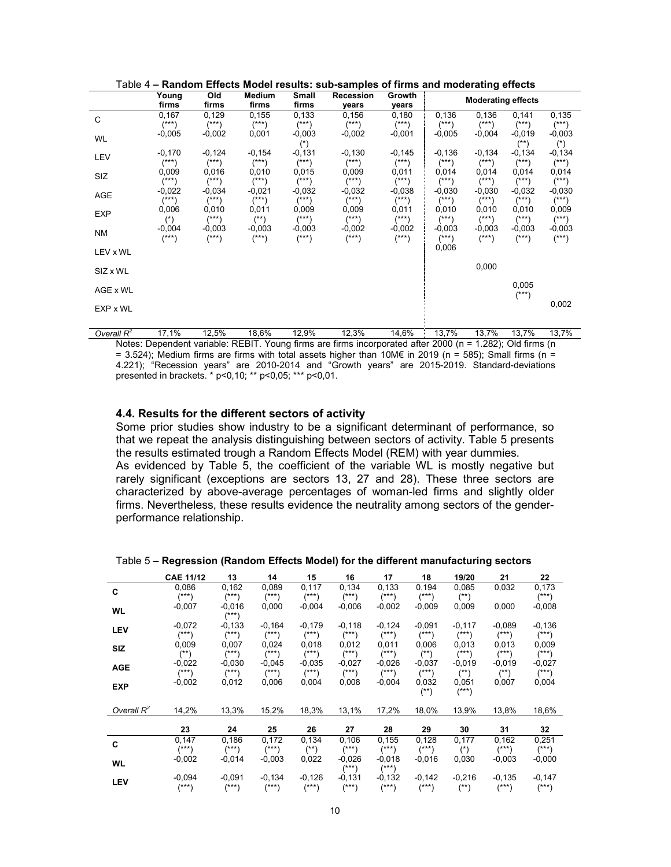|            | Young<br>firms         | Old<br>firms           | Medium<br>firms      | Small<br>firms         | Recession<br>years   | Growth<br>years      |                                | <b>Moderating effects</b> |                        |                      |
|------------|------------------------|------------------------|----------------------|------------------------|----------------------|----------------------|--------------------------------|---------------------------|------------------------|----------------------|
| C          | 0,167<br>$^{***}$      | 0,129<br>$(***)$       | 0.155<br>$(***)$     | 0,133<br>$(***)$       | 0,156<br>$(***)$     | 0,180<br>$(***)$     | 0.136<br>$^{***}$              | 0,136<br>$^{***}$         | 0,141<br>$(***)$       | 0,135<br>$(***)$     |
| WL         | $-0,005$               | $-0,002$               | 0,001                | $-0,003$<br>$(*)$      | $-0.002$             | $-0,001$             | $-0,005$                       | $-0,004$                  | $-0.019$<br>$^{(*)}$   | $-0,003$<br>$(*)$    |
| LEV        | $-0,170$<br>$^{***}$   | $-0,124$<br>$(***)$    | $-0,154$<br>$(***)$  | $-0,131$<br>$(***)$    | $-0,130$<br>$^{***}$ | $-0,145$<br>$(***)$  | $-0,136$<br>$(***)$            | $-0,134$<br>(***)         | $-0,134$<br>$(***)$    | $-0,134$<br>$^{***}$ |
| SIZ        | 0,009<br>$^{(***)}$    | 0,016<br>$(***)$       | 0,010<br>$(***)$     | 0,015<br>$^{***}$      | 0,009<br>$^{***}$    | 0,011<br>$(***)$     | 0,014<br>$^{***}$              | 0,014<br>$^{(***)}$       | 0,014<br>$(***)$       | 0,014<br>$(***)$     |
| AGE        | $-0.022$<br>(***)      | $-0,034$<br>$^{(***)}$ | $-0,021$<br>$(***)$  | $-0.032$<br>$^{(***)}$ | $-0.032$<br>$^{***}$ | $-0.038$<br>$^{***}$ | $-0.030$<br>$^{***}$           | $-0.030$<br>$^{(***)}$    | $-0.032$<br>$(***)$    | $-0.030$<br>$(***)$  |
| <b>EXP</b> | 0,006<br>$(*)$         | 0,010<br>$(***)$       | 0,011<br>$^{(*)}$    | 0,009<br>$^{***}$      | 0,009<br>$(***)$     | 0,011<br>$^{***}$    | 0.010<br>$^{(***)}$            | 0,010<br>$^{(***)}$       | 0.010<br>$(***)$       | 0,009<br>$(***)$     |
| ΝM         | $-0,004$<br>$^{(***)}$ | $-0,003$<br>$^{***}$   | $-0,003$<br>$^{***}$ | $-0,003$<br>$(***)$    | $-0.002$<br>$^{***}$ | $-0,002$<br>$^{***}$ | $-0,003$<br>$(\ast \ast \ast)$ | $-0,003$<br>(***)         | $-0,003$<br>$^{(***)}$ | $-0,003$<br>(***)    |
| LEV x WL   |                        |                        |                      |                        |                      |                      | 0,006                          |                           |                        |                      |
| SIZ x WL   |                        |                        |                      |                        |                      |                      |                                | 0,000                     |                        |                      |
| AGE x WL   |                        |                        |                      |                        |                      |                      |                                |                           | 0,005<br>$^{(***)}$    |                      |
| EXP x WL   |                        |                        |                      |                        |                      |                      |                                |                           |                        | 0,002                |
|            |                        |                        |                      |                        |                      |                      |                                |                           |                        |                      |

Table 4 – Random Effects Model results: sub-samples of firms and moderating effects

Overall  $R^2$ 17,1% 12,5% 18,6% 12,9% 12,3% 14,6% 13,7% 13,7% 13,7% 13,7% Notes: Dependent variable: REBIT. Young firms are firms incorporated after 2000 (n = 1.282); Old firms (n = 3.524); Medium firms are firms with total assets higher than 10M€ in 2019 (n = 585); Small firms (n = 4.221); "Recession years" are 2010-2014 and "Growth years" are 2015-2019. Standard-deviations presented in brackets. \* p<0,10; \*\* p<0,05; \*\*\* p<0,01.

#### 4.4. Results for the different sectors of activity

Some prior studies show industry to be a significant determinant of performance, so that we repeat the analysis distinguishing between sectors of activity. Table 5 presents the results estimated trough a Random Effects Model (REM) with year dummies. As evidenced by Table 5, the coefficient of the variable WL is mostly negative but rarely significant (exceptions are sectors 13, 27 and 28). These three sectors are characterized by above-average percentages of woman-led firms and slightly older firms. Nevertheless, these results evidence the neutrality among sectors of the genderperformance relationship.

#### Table 5 – Regression (Random Effects Model) for the different manufacturing sectors

|               | <b>CAE 11/12</b>       | 13                     | 14                   | 15                     | 16                      | 17                   | 18                     | 19/20                  | 21                     | 22                   |
|---------------|------------------------|------------------------|----------------------|------------------------|-------------------------|----------------------|------------------------|------------------------|------------------------|----------------------|
| C             | 0,086<br>$(***)$       | 0,162<br>(***)         | 0,089<br>$^{(***)}$  | 0,117<br>$^{***}$      | 0,134<br>$^{***}$       | 0,133<br>$^{***}$    | 0,194<br>$(***)$       | 0,085<br>(**)          | 0,032                  | 0,173<br>$^{***}$    |
| <b>WL</b>     | $-0,007$               | $-0.016$<br>/***)      | 0,000                | $-0,004$               | $-0.006$                | $-0.002$             | $-0,009$               | 0,009                  | 0,000                  | $-0,008$             |
| <b>LEV</b>    | $-0.072$<br>$^{(***)}$ | $-0,133$<br>$^{(***)}$ | $-0,164$<br>$(***)$  | $-0,179$<br>$^{(***)}$ | $-0,118$<br>$^{(***)}$  | $-0,124$<br>$(***)$  | $-0.091$<br>$^{(***)}$ | $-0,117$<br>$^{(***)}$ | $-0.089$<br>$^{(***)}$ | $-0,136$<br>(***)    |
| <b>SIZ</b>    | 0,009<br>(**)          | 0.007<br>(***)         | 0,024<br>$(***)$     | 0,018<br>$^{(***)}$    | 0,012<br>$^{***}$       | 0,011<br>$(***)$     | 0.006<br>(**)          | 0,013<br>(***)         | 0,013<br>(***)         | 0,009<br>(***)       |
| <b>AGE</b>    | $-0,022$<br>$^{(***)}$ | $-0.030$<br>(***)      | $-0.045$<br>$^{***}$ | $-0.035$<br>$^{***}$   | $-0.027$<br>$^{(***)}$  | $-0.026$<br>$^{***}$ | $-0,037$<br>$^{(***)}$ | $-0.019$<br>(**)       | $-0.019$<br>$^{(*)}$   | $-0,027$<br>$^{***}$ |
| <b>EXP</b>    | $-0,002$               | 0,012                  | 0,006                | 0,004                  | 0,008                   | $-0.004$             | 0,032<br>(**)          | 0,051<br>(***)         | 0,007                  | 0,004                |
| Overall $R^2$ | 14,2%                  | 13,3%                  | 15,2%                | 18,3%                  | 13,1%                   | 17,2%                | 18,0%                  | 13,9%                  | 13,8%                  | 18,6%                |
|               | 23                     | 24                     | 25                   | 26                     | 27                      | 28                   | 29                     | 30                     | 31                     | 32                   |
| C             | 0,147<br>$(***)$       | 0,186<br>$(***)$       | 0,172<br>$^{***}$    | 0,134<br>$^{(*)}$      | 0,106<br>$(***)$        | 0,155<br>$(***)$     | 0,128<br>$(***)$       | 0,177<br>$(*)$         | 0,162<br>$^{***}$      | 0,251<br>$^{***}$    |
| <b>WL</b>     | $-0,002$               | $-0.014$               | $-0,003$             | 0,022                  | $-0.026$<br>$^{(***)}$  | $-0.018$<br>$(***)$  | $-0.016$               | 0,030                  | $-0,003$               | $-0,000$             |
| <b>LEV</b>    | $-0.094$<br>/***)      | $-0,091$<br>/***)      | $-0,134$<br>$(***`$  | $-0,126$<br>(***)      | $-0,131$<br>$*$ * * $*$ | $-0,132$<br>$(***)$  | $-0,142$<br>$(***)$    | $-0,216$<br>$^{(*)}$   | $-0,135$<br>/***)      | $-0,147$<br>(***)    |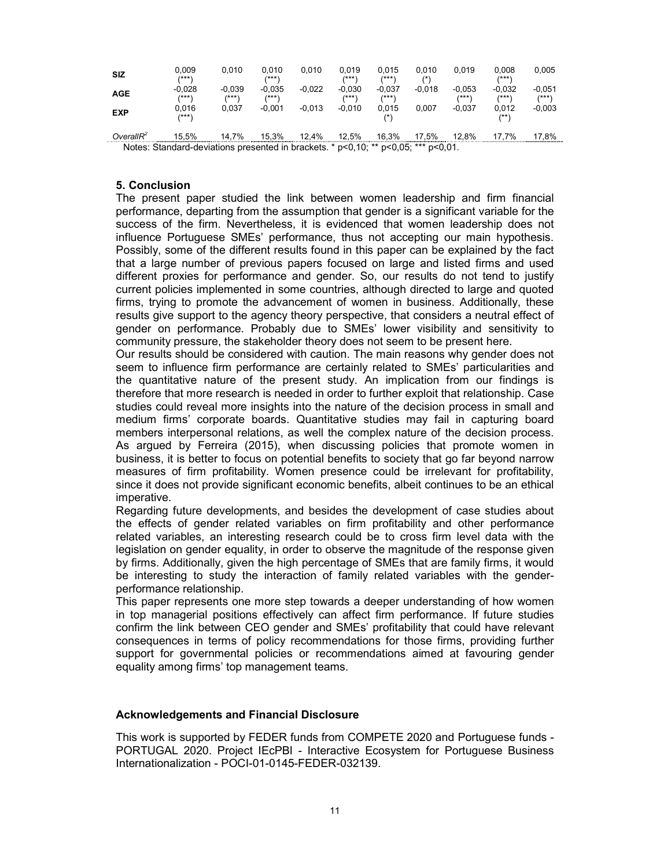| <b>SIZ</b>                                                                         | 0.009<br>/***'    | 0.010              | 0.010<br>/***     | 0.010    | 0.019<br>/***\    | 0.015<br>/***'    | 0.010<br>$^{\prime\ast}$ | 0.019             | 0.008<br>/***     | 0,005               |
|------------------------------------------------------------------------------------|-------------------|--------------------|-------------------|----------|-------------------|-------------------|--------------------------|-------------------|-------------------|---------------------|
| <b>AGE</b>                                                                         | $-0.028$<br>/***) | $-0.039$<br>/*** \ | $-0.035$<br>/***' | $-0.022$ | $-0.030$<br>/***\ | $-0.037$<br>/***' | $-0.018$                 | $-0.053$<br>/***) | $-0.032$<br>/***' | $-0.051$<br>$***$ \ |
| <b>EXP</b>                                                                         | 0.016<br>(***`    | 0.037              | $-0.001$          | $-0.013$ | $-0.010$          | 0.015<br>(*)      | 0.007                    | $-0.037$          | 0.012<br>/**\     | $-0,003$            |
| OverallR <sup>2</sup>                                                              | 15.5%             | 14.7%              | 15.3%             | 12.4%    | 12.5%             | 16.3%             | 17.5%                    | 12.8%             | 17.7%             | 17.8%               |
| Notes: Standard-deviations presented in brackets. * p<0.10; ** p<0.05; *** p<0.01. |                   |                    |                   |          |                   |                   |                          |                   |                   |                     |

#### 5. Conclusion

The present paper studied the link between women leadership and firm financial performance, departing from the assumption that gender is a significant variable for the success of the firm. Nevertheless, it is evidenced that women leadership does not influence Portuguese SMEs' performance, thus not accepting our main hypothesis. Possibly, some of the different results found in this paper can be explained by the fact that a large number of previous papers focused on large and listed firms and used different proxies for performance and gender. So, our results do not tend to justify current policies implemented in some countries, although directed to large and quoted firms, trying to promote the advancement of women in business. Additionally, these results give support to the agency theory perspective, that considers a neutral effect of gender on performance. Probably due to SMEs' lower visibility and sensitivity to community pressure, the stakeholder theory does not seem to be present here.

Our results should be considered with caution. The main reasons why gender does not seem to influence firm performance are certainly related to SMEs' particularities and the quantitative nature of the present study. An implication from our findings is therefore that more research is needed in order to further exploit that relationship. Case studies could reveal more insights into the nature of the decision process in small and medium firms' corporate boards. Quantitative studies may fail in capturing board members interpersonal relations, as well the complex nature of the decision process. As argued by Ferreira (2015), when discussing policies that promote women in business, it is better to focus on potential benefits to society that go far beyond narrow measures of firm profitability. Women presence could be irrelevant for profitability, since it does not provide significant economic benefits, albeit continues to be an ethical imperative.

Regarding future developments, and besides the development of case studies about the effects of gender related variables on firm profitability and other performance related variables, an interesting research could be to cross firm level data with the legislation on gender equality, in order to observe the magnitude of the response given by firms. Additionally, given the high percentage of SMEs that are family firms, it would be interesting to study the interaction of family related variables with the genderperformance relationship.

This paper represents one more step towards a deeper understanding of how women in top managerial positions effectively can affect firm performance. If future studies confirm the link between CEO gender and SMEs' profitability that could have relevant consequences in terms of policy recommendations for those firms, providing further support for governmental policies or recommendations aimed at favouring gender equality among firms' top management teams.

#### Acknowledgements and Financial Disclosure

This work is supported by FEDER funds from COMPETE 2020 and Portuguese funds - PORTUGAL 2020. Project IEcPBI - Interactive Ecosystem for Portuguese Business Internationalization - POCI-01-0145-FEDER-032139.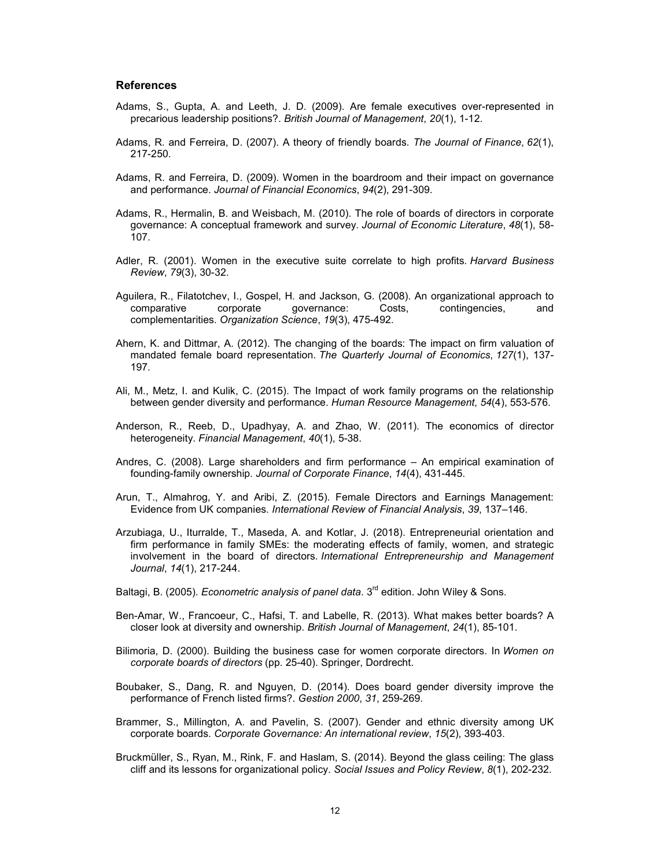#### References

- Adams, S., Gupta, A. and Leeth, J. D. (2009). Are female executives over-represented in precarious leadership positions?. British Journal of Management, 20(1), 1-12.
- Adams, R. and Ferreira, D. (2007). A theory of friendly boards. The Journal of Finance, 62(1), 217-250.
- Adams, R. and Ferreira, D. (2009). Women in the boardroom and their impact on governance and performance. Journal of Financial Economics, 94(2), 291-309.
- Adams, R., Hermalin, B. and Weisbach, M. (2010). The role of boards of directors in corporate governance: A conceptual framework and survey. Journal of Economic Literature, 48(1), 58- 107.
- Adler, R. (2001). Women in the executive suite correlate to high profits. Harvard Business Review, 79(3), 30-32.
- Aguilera, R., Filatotchev, I., Gospel, H. and Jackson, G. (2008). An organizational approach to comparative corporate governance: Costs, contingencies, and complementarities. Organization Science, 19(3), 475-492.
- Ahern, K. and Dittmar, A. (2012). The changing of the boards: The impact on firm valuation of mandated female board representation. The Quarterly Journal of Economics, 127(1), 137- 197.
- Ali, M., Metz, I. and Kulik, C. (2015). The Impact of work family programs on the relationship between gender diversity and performance. Human Resource Management, 54(4), 553-576.
- Anderson, R., Reeb, D., Upadhyay, A. and Zhao, W. (2011). The economics of director heterogeneity. Financial Management, 40(1), 5-38.
- Andres, C. (2008). Large shareholders and firm performance An empirical examination of founding-family ownership. Journal of Corporate Finance, 14(4), 431-445.
- Arun, T., Almahrog, Y. and Aribi, Z. (2015). Female Directors and Earnings Management: Evidence from UK companies. International Review of Financial Analysis, 39, 137–146.
- Arzubiaga, U., Iturralde, T., Maseda, A. and Kotlar, J. (2018). Entrepreneurial orientation and firm performance in family SMEs: the moderating effects of family, women, and strategic involvement in the board of directors. International Entrepreneurship and Management Journal, 14(1), 217-244.
- Baltagi, B. (2005). *Econometric analysis of panel data*.  $3^{rd}$  edition. John Wiley & Sons.
- Ben-Amar, W., Francoeur, C., Hafsi, T. and Labelle, R. (2013). What makes better boards? A closer look at diversity and ownership. British Journal of Management, 24(1), 85-101.
- Bilimoria, D. (2000). Building the business case for women corporate directors. In Women on corporate boards of directors (pp. 25-40). Springer, Dordrecht.
- Boubaker, S., Dang, R. and Nguyen, D. (2014). Does board gender diversity improve the performance of French listed firms?. Gestion 2000, 31, 259-269.
- Brammer, S., Millington, A. and Pavelin, S. (2007). Gender and ethnic diversity among UK corporate boards. Corporate Governance: An international review, 15(2), 393-403.
- Bruckmüller, S., Ryan, M., Rink, F. and Haslam, S. (2014). Beyond the glass ceiling: The glass cliff and its lessons for organizational policy. Social Issues and Policy Review, 8(1), 202-232.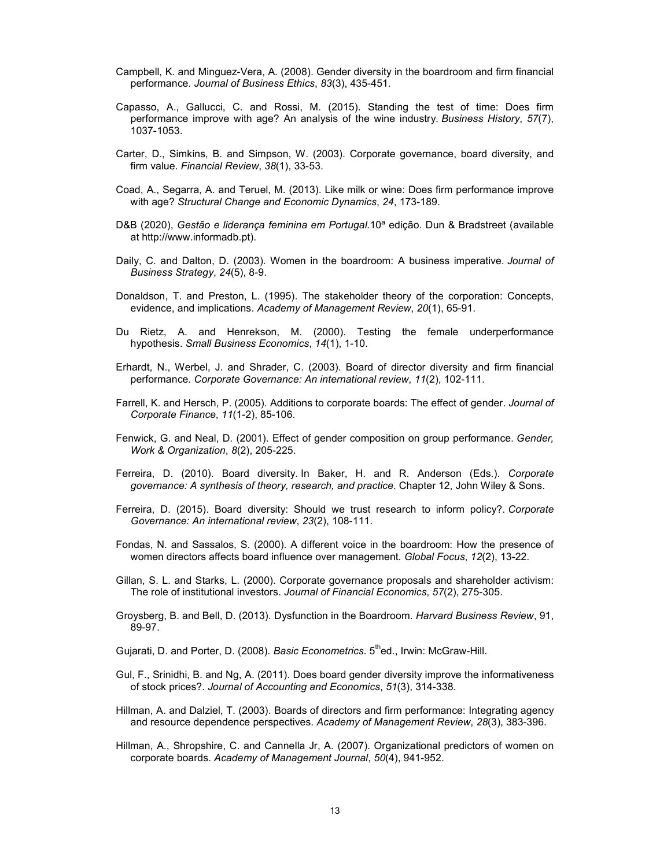- Campbell, K. and Minguez-Vera, A. (2008). Gender diversity in the boardroom and firm financial performance. Journal of Business Ethics, 83(3), 435-451.
- Capasso, A., Gallucci, C. and Rossi, M. (2015). Standing the test of time: Does firm performance improve with age? An analysis of the wine industry. Business History, 57(7), 1037-1053.
- Carter, D., Simkins, B. and Simpson, W. (2003). Corporate governance, board diversity, and firm value. Financial Review, 38(1), 33-53.
- Coad, A., Segarra, A. and Teruel, M. (2013). Like milk or wine: Does firm performance improve with age? Structural Change and Economic Dynamics, 24, 173-189.
- D&B (2020), Gestão e liderança feminina em Portugal.10ª edição. Dun & Bradstreet (available at http://www.informadb.pt).
- Daily, C. and Dalton, D. (2003). Women in the boardroom: A business imperative. Journal of Business Strategy, 24(5), 8-9.
- Donaldson, T. and Preston, L. (1995). The stakeholder theory of the corporation: Concepts, evidence, and implications. Academy of Management Review, 20(1), 65-91.
- Du Rietz, A. and Henrekson, M. (2000). Testing the female underperformance hypothesis. Small Business Economics, 14(1), 1-10.
- Erhardt, N., Werbel, J. and Shrader, C. (2003). Board of director diversity and firm financial performance. Corporate Governance: An international review, 11(2), 102-111.
- Farrell, K. and Hersch, P. (2005). Additions to corporate boards: The effect of gender. Journal of Corporate Finance, 11(1-2), 85-106.
- Fenwick, G. and Neal, D. (2001). Effect of gender composition on group performance. Gender, Work & Organization, 8(2), 205-225.
- Ferreira, D. (2010). Board diversity. In Baker, H. and R. Anderson (Eds.). Corporate governance: A synthesis of theory, research, and practice. Chapter 12, John Wiley & Sons.
- Ferreira, D. (2015). Board diversity: Should we trust research to inform policy?. Corporate Governance: An international review, 23(2), 108-111.
- Fondas, N. and Sassalos, S. (2000). A different voice in the boardroom: How the presence of women directors affects board influence over management. Global Focus, 12(2), 13-22.
- Gillan, S. L. and Starks, L. (2000). Corporate governance proposals and shareholder activism: The role of institutional investors. Journal of Financial Economics, 57(2), 275-305.
- Groysberg, B. and Bell, D. (2013). Dysfunction in the Boardroom. Harvard Business Review, 91, 89-97.
- Gujarati, D. and Porter, D. (2008). Basic Econometrics. 5<sup>th</sup>ed., Irwin: McGraw-Hill.
- Gul, F., Srinidhi, B. and Ng, A. (2011). Does board gender diversity improve the informativeness of stock prices?. Journal of Accounting and Economics, 51(3), 314-338.
- Hillman, A. and Dalziel, T. (2003). Boards of directors and firm performance: Integrating agency and resource dependence perspectives. Academy of Management Review, 28(3), 383-396.
- Hillman, A., Shropshire, C. and Cannella Jr, A. (2007). Organizational predictors of women on corporate boards. Academy of Management Journal, 50(4), 941-952.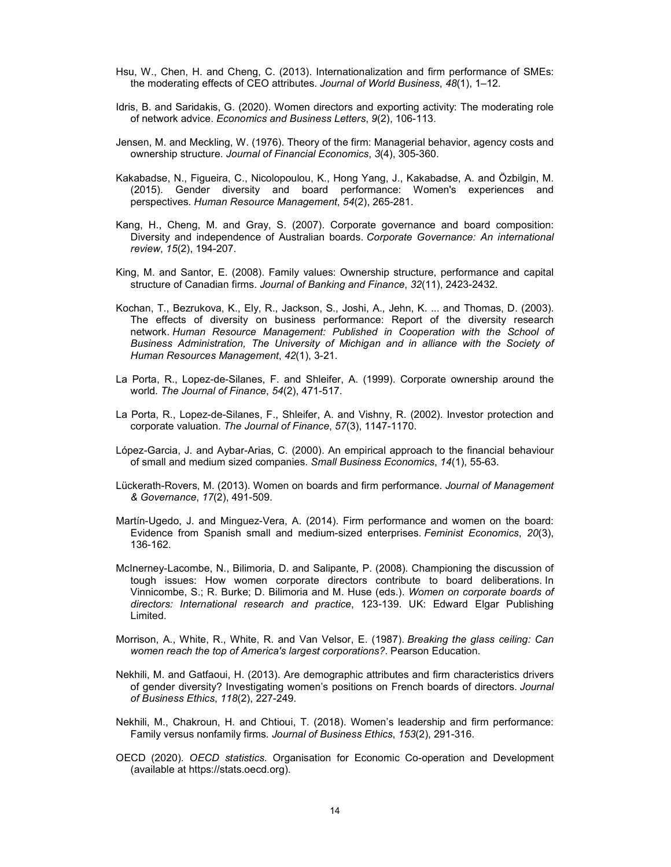- Hsu, W., Chen, H. and Cheng, C. (2013). Internationalization and firm performance of SMEs: the moderating effects of CEO attributes. Journal of World Business, 48(1), 1–12.
- Idris, B. and Saridakis, G. (2020). Women directors and exporting activity: The moderating role of network advice. Economics and Business Letters, 9(2), 106-113.
- Jensen, M. and Meckling, W. (1976). Theory of the firm: Managerial behavior, agency costs and ownership structure. Journal of Financial Economics, 3(4), 305-360.
- Kakabadse, N., Figueira, C., Nicolopoulou, K., Hong Yang, J., Kakabadse, A. and Özbilgin, M. (2015). Gender diversity and board performance: Women's experiences and perspectives. Human Resource Management, 54(2), 265-281.
- Kang, H., Cheng, M. and Gray, S. (2007). Corporate governance and board composition: Diversity and independence of Australian boards. Corporate Governance: An international review, 15(2), 194-207.
- King, M. and Santor, E. (2008). Family values: Ownership structure, performance and capital structure of Canadian firms. Journal of Banking and Finance, 32(11), 2423-2432.
- Kochan, T., Bezrukova, K., Ely, R., Jackson, S., Joshi, A., Jehn, K. ... and Thomas, D. (2003). The effects of diversity on business performance: Report of the diversity research network. Human Resource Management: Published in Cooperation with the School of Business Administration, The University of Michigan and in alliance with the Society of Human Resources Management, 42(1), 3-21.
- La Porta, R., Lopez-de-Silanes, F. and Shleifer, A. (1999). Corporate ownership around the world. The Journal of Finance, 54(2), 471-517.
- La Porta, R., Lopez-de-Silanes, F., Shleifer, A. and Vishny, R. (2002). Investor protection and corporate valuation. The Journal of Finance, 57(3), 1147-1170.
- López-Garcia, J. and Aybar-Arias, C. (2000). An empirical approach to the financial behaviour of small and medium sized companies. Small Business Economics, 14(1), 55-63.
- Lückerath-Rovers, M. (2013). Women on boards and firm performance. Journal of Management & Governance, 17(2), 491-509.
- Martín-Ugedo, J. and Minguez-Vera, A. (2014). Firm performance and women on the board: Evidence from Spanish small and medium-sized enterprises. Feminist Economics, 20(3), 136-162.
- McInerney-Lacombe, N., Bilimoria, D. and Salipante, P. (2008). Championing the discussion of tough issues: How women corporate directors contribute to board deliberations. In Vinnicombe, S.; R. Burke; D. Bilimoria and M. Huse (eds.). Women on corporate boards of directors: International research and practice, 123-139. UK: Edward Elgar Publishing Limited.
- Morrison, A., White, R., White, R. and Van Velsor, E. (1987). Breaking the glass ceiling: Can women reach the top of America's largest corporations?. Pearson Education.
- Nekhili, M. and Gatfaoui, H. (2013). Are demographic attributes and firm characteristics drivers of gender diversity? Investigating women's positions on French boards of directors. Journal of Business Ethics, 118(2), 227-249.
- Nekhili, M., Chakroun, H. and Chtioui, T. (2018). Women's leadership and firm performance: Family versus nonfamily firms. Journal of Business Ethics, 153(2), 291-316.
- OECD (2020). OECD statistics. Organisation for Economic Co-operation and Development (available at https://stats.oecd.org).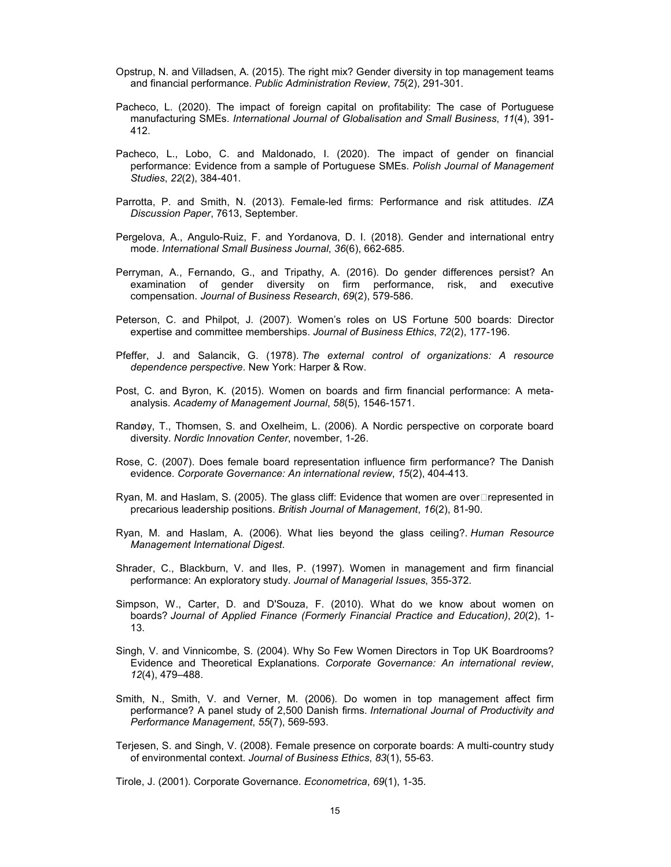- Opstrup, N. and Villadsen, A. (2015). The right mix? Gender diversity in top management teams and financial performance. Public Administration Review, 75(2), 291-301.
- Pacheco, L. (2020). The impact of foreign capital on profitability: The case of Portuguese manufacturing SMEs. International Journal of Globalisation and Small Business, 11(4), 391- 412.
- Pacheco, L., Lobo, C. and Maldonado, I. (2020). The impact of gender on financial performance: Evidence from a sample of Portuguese SMEs. Polish Journal of Management Studies, 22(2), 384-401.
- Parrotta, P. and Smith, N. (2013). Female-led firms: Performance and risk attitudes. IZA Discussion Paper, 7613, September.
- Pergelova, A., Angulo-Ruiz, F. and Yordanova, D. I. (2018). Gender and international entry mode. International Small Business Journal, 36(6), 662-685.
- Perryman, A., Fernando, G., and Tripathy, A. (2016). Do gender differences persist? An examination of gender diversity on firm performance, risk, and executive compensation. Journal of Business Research, 69(2), 579-586.
- Peterson, C. and Philpot, J. (2007). Women's roles on US Fortune 500 boards: Director expertise and committee memberships. Journal of Business Ethics, 72(2), 177-196.
- Pfeffer, J. and Salancik, G. (1978). The external control of organizations: A resource dependence perspective. New York: Harper & Row.
- Post, C. and Byron, K. (2015). Women on boards and firm financial performance: A metaanalysis. Academy of Management Journal, 58(5), 1546-1571.
- Randøy, T., Thomsen, S. and Oxelheim, L. (2006). A Nordic perspective on corporate board diversity. Nordic Innovation Center, november, 1-26.
- Rose, C. (2007). Does female board representation influence firm performance? The Danish evidence. Corporate Governance: An international review, 15(2), 404-413.
- Ryan, M. and Haslam, S. (2005). The glass cliff: Evidence that women are overrepresented in precarious leadership positions. British Journal of Management, 16(2), 81-90.
- Ryan, M. and Haslam, A. (2006). What lies beyond the glass ceiling?. Human Resource Management International Digest.
- Shrader, C., Blackburn, V. and Iles, P. (1997). Women in management and firm financial performance: An exploratory study. Journal of Managerial Issues, 355-372.
- Simpson, W., Carter, D. and D'Souza, F. (2010). What do we know about women on boards? Journal of Applied Finance (Formerly Financial Practice and Education), 20(2), 1- 13.
- Singh, V. and Vinnicombe, S. (2004). Why So Few Women Directors in Top UK Boardrooms? Evidence and Theoretical Explanations. Corporate Governance: An international review, 12(4), 479–488.
- Smith, N., Smith, V. and Verner, M. (2006). Do women in top management affect firm performance? A panel study of 2,500 Danish firms. International Journal of Productivity and Performance Management, 55(7), 569-593.
- Terjesen, S. and Singh, V. (2008). Female presence on corporate boards: A multi-country study of environmental context. Journal of Business Ethics, 83(1), 55-63.

Tirole, J. (2001). Corporate Governance. Econometrica, 69(1), 1-35.